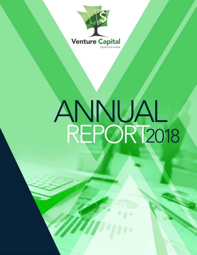

# ANNUAL<br>REPORT2018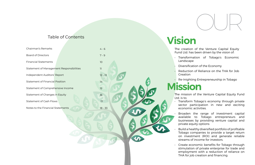# Table of Contents



# **Vision**

ation of the Venture Capital Equity d. has been driven by the vision of:

formation of Tobago's Economic scape

rsification of the Economy

rction of Reliance on the THA for Job tion

**Mission** • Re-Inighting Entrepreneurship in Tobago

ssion of the Venture Capital Equity Fund

form Tobago's economy through private or participation in new and exciting omic activities.

den the range of investment capital able to Tobago entrepreneurs and esses by providing venture capital and te equity options

| Chairman's Remarks                       | $4 - 6$         | The crea<br><b>Fund Ltc</b>                  |
|------------------------------------------|-----------------|----------------------------------------------|
| <b>Board of Directors</b>                | $7 - 9$         | Transf                                       |
| <b>Financial Statements</b>              | 10 <sup>°</sup> | Lands                                        |
| Statement of Management Responsibilities | 11              | <b>Divers</b>                                |
| Independent Auditors' Report             | $12 - 13$       | Reduo<br>Creati                              |
| Statement of Financial Position          | 14              | Re-Ini                                       |
| Statement of Comprehensive Income        | 15              | <b>Miss</b>                                  |
| Statement of Changes in Equity           | 16              | The miss                                     |
| <b>Statement of Cash Flows</b>           | 17              | Ltd. is to:<br>Transf<br>sector              |
| Notes to the Financial Statements        | $18 - 33$       | econo                                        |
|                                          |                 | <b>Broad</b><br>availal<br>busine<br>private |
|                                          |                 |                                              |

- 
- 

• Build a healthy diversified portfolio of profitable Tobago companies to provide a target return on investment (ROI) and generate reliable streams of income for investors.

• Create economic benefits for Tobago through stimulation of private enterprise for trade and employment with a reduction of reliance on THA for job creation and financing.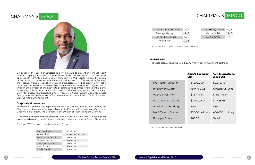On behalf of the Board of Directors, it is my pleasure to present this annual report on the company's activities for the fiscal year ended September 30, 2018. The prime objective of THA Venture Capital Equity Fund Limited (VCEFL) is to increase the supply of risk capital to the entrepreneurial small business sector of Tobago, thus fostering the expansion and preservation of small businesses as well as creating new jobs. VCEFL remains steadfast in delivering on its mandate to diversify the Tobago economy through the provision of alternatives to debt financing to entrepreneurs on the island. In keeping with this mandate VCEFL invests in the following priority sectors: Clean Light Manufacturing, Agriculture & Agro-Processing, Niche Tourism, Clean Renewable Energy & Green Technology, ICT – Information Communication Technology and Creative Arts & Entertainment.

#### **Corporate Governance**

The Board of Directors was appointed for the July 1, 2018 to June 30, 2019 term by the Shareholder's Representative, Assemblyman Joel Jack, the Tobago House of Assembly Deputy Chief Secretary and Secretary of the Division of Finance and the Economy.

A welcome new appointment, effective July 1 2018, is Ms. Giselle Small who brings her expertise in brokering public private investment partnerships to the Board of Directors.

For fiscal 2018 the board members were as follows:

# CHAIRMAN'S REPORT

| <b>Anthony Pierre</b> | Chairman        |
|-----------------------|-----------------|
| Vernie Shield         | Deputy Chairman |
| Petal Daniel Benoit   | Member          |
| Solange Henry         | Member          |
| Esther Le Gendre      | Member          |
| Alvin Pascall         | Member          |
| Giselle Small         | Member          |

| <b>Petal Daniel-Benoit</b> | 4/6 | <b>Anthony Pierre</b> | 5/6 |
|----------------------------|-----|-----------------------|-----|
| Solange Henry              | 5/6 | Vernie Shield         | 5/6 |
| Esther Le Gendre           | 6/6 | <b>Giselle Small</b>  | 1/1 |
| Alvin Pascall              | 3/6 |                       |     |

# CHAIRMAN'S REPORT



#### **PORTFOLIO**

The table below shows the VCEFL \$3.42 million dollar investment portfolio.

Pre-Money Valuation *<u>Investment</u>* Date VCEFL Investment Post Money Valuation VCEFL Shareholding No. & Type of Shares

Price per Share

Table 1: Number of meetings attended during the term

Table 2: VCEFL investment portfolio

| Andy's Company<br>Ltd. | <b>Pork International</b><br><b>Group Ltd.</b> |
|------------------------|------------------------------------------------|
| \$1,500,000            | \$2,545,116                                    |
| July 16, 2015          | October 15, 2015                               |
| \$1.5 million          | \$1.92 million                                 |
| \$3,000,000            | \$4,465,116                                    |
| 50%                    | 43%                                            |
| 25,000 ordinary        | 430,000 ordinary                               |
| \$60.00                | \$4.47                                         |
|                        |                                                |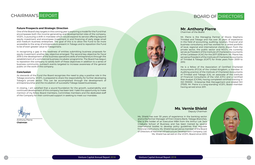One of the Board's key targets in this coming year is exploring a model for the Fund that encompasses both the income generating and developmental roles of the company. VCEFL is pursuing a shift in mandate which would expand its service offering beyond equity investment and encompass investment in and financing of early stage small and medium business enterprises. The goal of this is to allow the Fund to be more accessible to the array of entrepreneurs present in Tobago and to reposition the Fund to be of even greater value to Tobagonians.



#### **Future Prospects and Strategic Direction**

In recognizing a gap in the readiness of entities submitting business proposals for equity investment another key objective emerged. The second key objective for fiscal 2019 is the development of the business operations skills of entrepreneurs through the establishment of a commercial business incubator programme. The Board has begun to reposition the company to satisfy both of these objectives in addition to a series of business community outreach events targeted to increase awareness of the general public on the work of the company.

#### **Conclusion**

As stewards of the Fund the Board recognizes the need to play a positive role in the Tobago economy. VCEFL is prepared to share the responsibility for further developing Tobago's private sector. This can be accomplished through the development of entrepreneurship and the incubation of successful Tobago based businesses.

In closing, I am satisfied that a sound foundation for the growth, sustainability and continued development of this company has been laid. I take this opportunity to make mention of my fellow Board members, Committee members and the dedicated staff of the Company for their continued support in seeking to meet our mandate.



Anthony Pierre **Chairman** 

# **Mr. Anthony Pierre**

Chairman of the Board

Mr. Pierre is the Managing Partner of Moore Stephens Trinidad and Tobago and has over 35 years of experience in the field of accounting, auditing, taxation, financial and business consultancy and has worked for a varied portfolio of local, regional and international clients drawn from the private sector, the public sector and NGO's. He currently serves as President of the Institute of Chartered Accountants of the Caribbean (ICAC) for the 2017-2018 term. Mr. Pierre has served as President of the Institute of Chartered Accountants of Trinidad & Tobago (ICATT) for three years from 2009 to 2012.

He is a fellow of the Association of Certified Chartered Accountants (FCCA) of the United Kingdom, a member in Auditing practice of the Institute of Chartered Accountants of Trinidad and Tobago (CA), an associate of the Institute of Financial Consultants of the USA (CFC) and a Certified Risk Analyst (CICRA), having completed certified training in ISO 310000 - Enterprise Risk Management and related ISO 27005. Mr. Pierre is a long-standing VCEFL Board member having served since 2011.

#### **Ms. Vernie Shield** Deputy Chairman



Ms. Shield has over 30 years of experience in the banking sector and is the former Manager of First Citizens Bank, Tobago Branches. She is the holder of an Executive MBA from the Arthur Lok Jack Graduate School of Business and has been trained by several international bodies to develop policy guidelines that regulate financial institutions. Ms. Shield has served as member of the Board of Directors of National Infrastructure Development Company Ltd. Ms. Shield has served on the VCEFL Board since 2013.

# BOARD OF DIRECTORS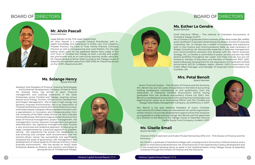# **Mr. Alvin Pascall**

Board Member

Legal Advisor to the THA Legal Department

Mr. Alvin Pascall is a seasoned General Practitioner with indepth knowledge and experience in Public Law, Civil Litigation, Probate Practice, the Laws of Trust, Family Practice, Company Practice as well as Conveyancing and Land Matters. For the past twenty seven years he has appeared before every judge of the Civil Court of Trinidad and Tobago as both a private and public law practitioner and as an instructing attorney and/or advocate. Mr. Pascall served as Senior State Counsel to the Tobago House of Assembly for eighteen years from 2001-2018. Mr. Pascal has served on the VCEFL Board since 2011.



#### **Ms. Solange Henry** Board Member

Assistant Vice President of Finance– Evolving TecKnologies and Enterprise Development Company Limited (e TecK) Ms. Solange Henry has almost 15 years' financial management and auditing experience in the State Enterprises across Trinidad and Tobago, covering various sectors such Energy, Tourism, Infrastructure Development and Project Management. She thrives in high energy and dynamic business environments. She is an Association of Charted Certified Accountants (ACCA) Certified Accountant and holds a Master's Degree in Business Administration with a specialization in Innovation and Entrepreneurship from the University of the West Indies, Arthur Lok Jack Graduate School of Business. She has strong practical proficiency in the areas of financial management, project management, risk management, human resource management and general administration. Her signature management style involves a very structured and analytical approach to executing all tasks, complemented by a practical approach to problem solving. Her experience has proven her adaptability to ever-evolving and complex work environments and her solution-driven nature has successfully and significantly impacted the areas of governance, risk management and development of robust systems of internal controls in many business environments. She has served on two(2) State Enterprise Boards as Director and remains committed to giving service to Trinidad and Tobago.



# BOARD OF DIRECTORS



# **Ms. Giselle Small**

Board Member

Director of the Investment and Public Private Partnership (IP3) Unit – THA Division of Finance and the Economy

Ms. Small is a graduate of Haverford College with a background in Economics, Political Science and a focus on international development. Ms. Small has built on her experiences in policy development and in the investment banking sector to assist in the implementation of key Tobago House of Assembly initiatives through the Division of Finance and the Economy.

# BOARD OF DIRECTORS

# **Ms. Esther Le Gendre**

# Board Member

Chief Executive Officer – The Institute of Chartered Accountants of

Trinidad & Tobago (ICATT) Ms Le Gendre is a graduate of the University of the West Indies (BA, eMBA) and is certified in Corporate Citizenship by the Boston School of Corporate Citizenship. Ms. Le Gendre has a wealth of knowledge and experience both in the Finance and Communications fields. As lead consultant of Bridge Consulting Ltd. she provides expertise in business management and communications solutions that dovetail with the client's business strategy. Ms. Le Gendre is committed to public service and she has held several portfolios throughout her career and these include, but are not limited to: Minister of Education and Member of Parliament 2007- 2010, head of Business Development for the Association of Chartered Certified Accountants (ACCA) Caribbean region, Atlantic LNG's Government and Public Affairs Manager, and Manager of Corporate Communications for Guardian Life.

# **Mrs. Petal Benoit**

Board Member



Senior Financial Analyst – THA Division of Finance and the Economy Mrs. Benoit has over ten years of experience in the field of accounting holding professional membership to and qualification from the Association of Chartered Certified Accountants (ACCA) having graduated from the Students Accountancy Centre Ltd. (SAC). Mrs. Benoit is a professional accountant with a strong financial background beginning her career as an Accounting Officer with the Trinidad and Tobago Solid Waste Management Company Ltd (SWMCOL) in 2007.

Mrs. Benoit is the past National President of Junior Chamber International (JCI) West Indies, an international non-profit organization whose mission is to provide development opportunities that empower young people to create positive change. Mrs. Benoit was first appointed as a Director to the Board of the Tobago House of Assembly Venture Capital Equity Fund Company Limited in 2017.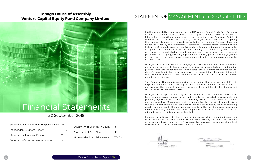# **Tobago House of Assembly Venture Capital Equity Fund Company Limited**

TOBAGO HOUSE OF ASSEMBLY VENTURE CAPITAL EQUITY FUND

# 30 September 2018

### Financial Statements I STATAMANT CHI Independent Auditors' Report

| Statement of Management Responsibilities 10 |         |
|---------------------------------------------|---------|
| Independent Auditors' Report                | 11 - 12 |
| Statement of Financial Position             | 13      |
| Statement of Comprehensive Income           | 14      |

| Statement of Changes in Equity         | 15 |
|----------------------------------------|----|
| Statement of Cash Flows                | 16 |
| Notes to the Financial Statements 17 - |    |

TOBAGO HOUSE OF ASSEMBLY VENTURE CAPITAL CAPITAL CAPITAL CAPITAL CAPITAL CAPITAL CAPITAL CAPITAL CAPITAL CAPITAL CAPITAL CAPITAL CAPITAL CAPITAL CAPITAL CAPITAL CAPITAL CAPITAL CAPITAL CAPITAL CAPITAL CAPITAL CAPITAL CAPITAL CAPITAL CAPITAL CAPITA COMPANY LIMITED AND

I N D E X

32

# STATEMENT OF MANAGEMENT'S RESPONSIBILITIES

It is the responsibility of management of the THA Venture Capital Equity Fund Company Limited to prepare financial statements, including the schedules and other explanatory information, for each financial year which give a true and fair view of the state of affairs of the company as at the end of the financial year. Management is responsible for preparing the financial statements in accordance with the International Financial Reporting Standards issued by the International Accounting Standards Board, adopted by the Institute of Chartered Accountants of Trinidad and Tobago, and in compliance with the Companies Act. The responsibilities include: ensuring that the company keeps proper accounting records which disclose, with reasonable accuracy at any time, the financial position of the Company; selecting appropriate accounting policies and applying them in a consistent manner; and making accounting estimates that are reasonable in the circumstances.

Management affirms that it has carried out its responsibilities as outlined above and of management to indicate that the Company will not remain a going concern for at least maintains proper standards of conduct for its activities. Nothing has come to the attention the next twelve months from the date of this statement.

 $41.3$ 

22<sup>nd</sup> January, 2019

Director

22<sup>nd</sup> January, 2019

**Page** and applicable laws. Management is of the opinion that the financial statements give a 1 results. Management further accepts responsibility for the maintenance of accounting adequate systems of internal financial control. Management accepts responsibility for the annual financial statements which have been prepared using appropriate accounting policies, supported by reasonable and prudent judgements and estimates, in conformity with established financial standards true and fair view of the state of the financial affairs of the company and of its operating records which may be relied upon in the preparation of financial statements, as well as

Management is responsible for the integrity and objectivity of the financial statements ensuring that systems of internal control are designed, implemented and maintained to: provide reasonable assurance that assets are safeguarded from loss or unauthorized use, detect/prevent fraud, allow for preparation and fair presentation of financial statements that are free from material misstatements whether due to fraud or error, and achieve operational efficiencies.

The Board of Directors is responsible for ensuring that management fulfils its responsibilities for financial reporting and internal control. The Board of Directors reviews and approves the financial statements, including the schedules attached therein, and submits the same to the shareholder.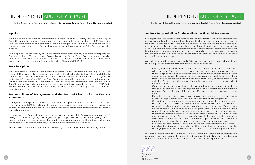# INDEPENDENT AUDITORS' REPORT

to the Members of Tobago House of Assembly **Venture Capital** Equity Fund **Company Limited**

#### **Opinion**

We have audited the financial statements of Tobago House of Assembly Venture Capital Equity Fund Company Limited, which comprise the statement of financial position as at 30 September 2018, the statements of comprehensive income, changes in equity and cash flows for the year then ended, and notes to the financial statements including a summary of significant accounting policies.

In our opinion, the accompanying financial statements present fairly, in all material respects, the financial position of Tobago House of Assembly Venture Capital Equity Fund Company Limited as at 30 September 2018 and its financial performance and its cash flows for the year then ended in accordance with International Financial Reporting Standards ("IFRSs").

#### **Basis for Opinion**

We conducted our audit in accordance with International Standards on Auditing ("ISAs"). Our responsibilities under those standards are further described in the Auditors' Responsibilities for the Audit of the Financial Statements section of our report. We are independent of Tobago House of Assembly Venture Capital Equity Fund Company Limited in accordance with the International Ethics Standards Board for Accountants' Code of Ethics for Professional Accountants ("IESBA Code"), and we have fulfilled our other ethical responsibilities in accordance with the IESBA Code. We believe that the audit evidence we have obtained is sufficient and appropriate to provide a basis for our opinion.

#### **Responsibilities of Management and the Board of Directors for the Financial Statements**

Management is responsible for the preparation and fair presentation of the financial statements in accordance with IFRSs, and for such internal control as management determines is necessary to enable the preparation of financial statements that are free from material misstatement, whether due to fraud or error.

In preparing the financial statements, management is responsible for assessing the company's ability to continue as a going concern; disclosing, as applicable, matters related to going concern; and using the going concern basis of accounting unless management either intends to liquidate the company or to cease operations, or has no realistic alternative but to do so.

The Board of Directors is responsible for overseeing the company's financial reporting process.

as a whole are free from material misstatement, whether due to fraud or error, and to of assurance, but is not a guarantee that an audit conducted in accordance with ISAs will always detect a material misstatement when it exists. Misstatements can arise from fraud or error and are considered material if, individually or in the aggregate, they could reasonably be expected to influence the economic decisions of users taken on the basis of these financial statements. The considered material if, individually or in the considered material if, in Our objectives are to obtain reasonable assurance about whether the financial statements issue an auditors' report that includes our opinion. Reasonable assurance is a high level

As part of an audit in accordance with ISAs, we exercise professional judgment and maintain professional scepticism throughout the audit. We also:

 $\cdot$  Identify and assess the risks of material misstatement of the financial statements, • Identify and assess the risks of material misstatement of the financial statements, whether due to a basis for our opinion. The risk of not detecting a material misstatement resulting a basis for our opmion. The nsiver not acteduring a material misstatement resulting<br>from fraud is higher than for one resulting from error, as fraud may involve collusion, forgery, intentional omissions, misrepresentations, or the override of whether due to fraud or error; design and perform audit procedures responsive to those risks; and obtain audit evidence that is sufficient and appropriate to provide

• Obtain an understanding of internal control relevant to the audit, in order to design audit procedures that are appropriate in the circumstances, but not for the purpose of expressing an opinion on the effectiveness of the company's internal

 $\cdot$  Evaluate the appropriateness of accounting policies used and the reasonableness of accounting estimates and related disclosures made by management.

 $\cdot$  Conclude on the appropriateness of management's use of the going concern basis of accounting and based on the audit evidence obtained, whether a material uncertainty exists related to events or conditions that may cast significant doubt<br>whether when we have a hill to the continuum and we have a second that the that is on the company's ability to continue as a going concern. If we concidue that a<br>material uncertainty exists, we are required to draw attention in our auditors' material uncertainty exists, we are required to draw attention in our additors<br>report to the related disclosures in the financial statements or, if such disclosures report to the related disclosures in the financial statements or, if such disclosures are inadequate, to modify our opinion. Our conclusions are based on the audit are madequate, to modify our opinion. Our conclusions are based on the datit evidence obtained up to the date of our auditors' report. However, future events or to the date of our auditors' report. However, future events or conditions may cause the company conditions may cause the company to cease to continue as a going concern. on the company's ability to continue as a going concern. If we conclude that a

 $\cdot$  Evaluate the overall presentation, structure and content of the financial statements, including the disclosures, and whether the financial statements represent the underlying transactions and events in a manner that achieves fair presentation.

planned scope and timing of the audit and significant audit findings, including any significant deficiencies in internal control that we identify during our audit. We communicate with the Board of Directors regarding, among other matters, the

 $\frac{12}{22}$ **Barataria** Barataria **TRINIDAD** TRINIDAD **22 January 2019** 22 January 2019

- As part of an audit in accordance with ISAs, we exercise professional judgment and maintain professional detection a material misstatement resulting from from from for one resulting from error, in the resulting from e<br>Internal control.
	- ${\tt control.}$  that are appropriate in the circumstances, but not for the purpose of expressing and purpose of expressions and  ${\tt c}$ control.
	-
	-

# INDEPENDENT AUDITORS' REPORT

to the Members of Tobago House of Assembly **Venture Capital** Equity Fund **Company Limited**

#### **Auditors' Responsibilities for the Audit of the Financial Statements**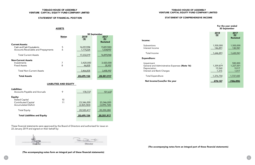#### STATEMENT OF FINANCIAL POSITION

These financial statements were approved by the Board of Directors and authorised for issue on 22 January 2019 and signed on their behalf by:

 $\mathcal{A}$ **Director Director** 

#### LIABILITIES AND EQUITY

| 9        | 178,737                   | 101,637                   |
|----------|---------------------------|---------------------------|
| 10<br>11 | 23,346,000<br>(2,825,583) | 23,346,000<br>(3,095,720) |
|          | 20,520,417                | 20,250,280                |
|          | 20,699,154                | 20,351,917                |
|          |                           |                           |

|                                                                                            |              | 30 September            |                                |                                                  |
|--------------------------------------------------------------------------------------------|--------------|-------------------------|--------------------------------|--------------------------------------------------|
|                                                                                            | <b>Notes</b> | 2018<br>(5)             | 2017<br>(5)<br><b>Restated</b> | Income:                                          |
| <b>Current Assets:</b><br>Cash and Cash Equivalents<br>Accounts Receivable and Prepayments | 5<br>6       | 16,057,094<br>1,175,225 | 15,857,003<br>1,038,957        | Subventions<br>Interest Income                   |
| <b>Total Current Assets</b>                                                                |              | 17,232,319              | 16,895,960                     | Total Income<br><b>Expenditure:</b>              |
| <b>Non-Current Assets</b>                                                                  |              |                         |                                |                                                  |
| Investments                                                                                | ⇁            | 3,420,000               | 3,420,000                      | Impairment                                       |
| <b>Fixed Assets</b>                                                                        | 8            | 46,835                  | 35,957                         | General and Administrative Exper<br>Depreciation |
| <b>Total Non-Current Assets</b>                                                            |              | 3,466,835               | 3,455,957                      | Interest and Bank Charges                        |
| <b>Total Assets</b>                                                                        |              | 20,699,154              | 20,351,917                     | <b>Total Expenditure</b>                         |
|                                                                                            |              |                         |                                | Net Income/(Loss)for the year                    |

(The accompanying notes form an integral part of these financial statements)

#### TOBAGO HOUSE OF ASSEMBLY VENTURE CAPITAL EQUITY FUND COMPANY LIMITED

#### **ASSETS**

#### STAT EMENT OF COMPREHENSIVE INCOME

| For the year ended<br>30 September |                                        |  |  |  |
|------------------------------------|----------------------------------------|--|--|--|
| 2018<br>(5)                        | 2017<br>(5)<br>Restated                |  |  |  |
| 1,500,000<br>146,891               | 1,500,000<br>130,941                   |  |  |  |
| 1,646,891                          | 1,630,941                              |  |  |  |
| 1,359,879<br>15,560<br>1,315       | 500,000<br>1,227,001<br>9,017<br>1,417 |  |  |  |
| 1,376,754                          | 1,737,435                              |  |  |  |
| <u>270,137</u>                     | (106, 494)                             |  |  |  |

benses (Note 16)

(The accompanying notes form an integral part of these financial statements)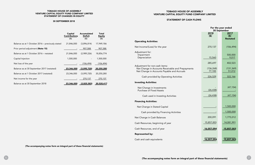#### TOBAGO HOUSE OF ASSEMBLY VENTURE CAPITAL EQUITY FUND COMPANY LIMITED STATEMENT OF CHANGES IN EQUITY

#### 30 SEPTEMBER 2018

|                                                  | Capital<br><b>Contributions</b><br>(S) | Accumulated<br><b>Deficit</b><br>(S) | Total<br><u>Equity</u><br>(S) |                                                   |
|--------------------------------------------------|----------------------------------------|--------------------------------------|-------------------------------|---------------------------------------------------|
|                                                  |                                        |                                      |                               | <b>Operating Activities:</b>                      |
| Balance as at 1 October 2016 – previously stated | 21,846,000                             | (3,896,814)                          | 17,949,186                    |                                                   |
| Prior period adjustment (Note 15)                | $\overline{\phantom{a}}$               | 907,588                              | 907,588                       | Net Income/(Loss) for the year                    |
| Balance as at 1 October 2016 - restated          | 21,846,000                             | (2,989,226)                          | 18,856,774                    | Adjustment for:<br>Impairment                     |
| Capital Injection                                | 1,500,000                              | $\overline{\phantom{a}}$             | 1,500,000                     | Depreciation                                      |
| Net loss of the year                             | $\sim$                                 | (106, 494)                           | (106, 494)                    | Adjustment for non-cash items:                    |
| Balance as at 30 September 2017 (restated)       | 23,346,000                             | (3,095,720)                          | 20,250,280                    | Net Change in Accounts Receivable and Prepayments |
| Balance as at 1 October 2017 (restated)          | 23,346,000                             | (3,095,720)                          | 20,250,280                    | Net Change in Accounts Payable and Accruals       |
| Net income for the year                          |                                        | 270,137                              | 270,137                       | Cash provided by Operating Activities             |
| Balance as at 30 September 2018                  | 23,346,000                             | (2,825,583)                          | 20,520,417                    | <b>Investing Activities:</b>                      |
|                                                  |                                        |                                      |                               | Net Change in Investments                         |

(The accompanying notes form an integral part of these financial statements)

#### TOBAGO HOUSE OF ASSEMBLY VENTURE CAPITAL EQUITY FUND COMPANY LIMITED

#### STATEMENT OF CASH FLOWS

Purchase of Fixed Assets

Cash used in Investing Activities

| For the year ended<br>30 September |                    |  |  |  |  |  |
|------------------------------------|--------------------|--|--|--|--|--|
| 2018                               | 2017               |  |  |  |  |  |
| ( \$ )                             | (5)                |  |  |  |  |  |
|                                    | <b>Restated</b>    |  |  |  |  |  |
|                                    |                    |  |  |  |  |  |
|                                    |                    |  |  |  |  |  |
| 270,137                            | (106, 494)         |  |  |  |  |  |
|                                    |                    |  |  |  |  |  |
|                                    | 500,000            |  |  |  |  |  |
| 15,560                             | 9,017              |  |  |  |  |  |
|                                    |                    |  |  |  |  |  |
| 285,697                            | 402,523            |  |  |  |  |  |
|                                    |                    |  |  |  |  |  |
| (136, 268)                         | (131, 369)         |  |  |  |  |  |
| 77,100                             | 51,012             |  |  |  |  |  |
| 226,529                            | 322,166            |  |  |  |  |  |
|                                    |                    |  |  |  |  |  |
|                                    |                    |  |  |  |  |  |
|                                    |                    |  |  |  |  |  |
|                                    | (47, 154)          |  |  |  |  |  |
| (26, 438)                          |                    |  |  |  |  |  |
| (26, 438)                          | (47, 154)          |  |  |  |  |  |
|                                    |                    |  |  |  |  |  |
|                                    |                    |  |  |  |  |  |
|                                    |                    |  |  |  |  |  |
|                                    | <u>1,500,000</u>   |  |  |  |  |  |
|                                    | 1,500,000          |  |  |  |  |  |
|                                    |                    |  |  |  |  |  |
| 200,091                            | 1,775,012          |  |  |  |  |  |
| <u>15,857,003</u>                  | 14,081,991         |  |  |  |  |  |
| <u>16,057,094</u>                  | <u> 15,857,003</u> |  |  |  |  |  |
|                                    |                    |  |  |  |  |  |
|                                    |                    |  |  |  |  |  |
|                                    |                    |  |  |  |  |  |
| 16,057,094                         | 15,857,003         |  |  |  |  |  |

Financing Activities:

Net Change in Stated Capital

Cash provided by Financing Activities

Net Change in Cash Balances

Cash Resources, end of year

Cash and cash equivalents

Cash Resources, beginning of year

Represented by: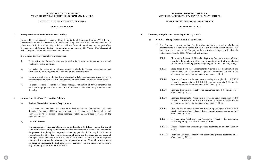#### **NOTES TO THE FINANCIAL STATEMENTS**

#### **30 SEPTEMBER 2018**

#### **1. Incorporation and Principal Business Activity:**

Tobago House of Assembly Venture Capital Equity Fund Company Limited (VCEFL) was incorporated on the 9 February 2010 under the Companies Act 1995 and registered on 17 November 2011. Its activities are carried out with the financial commitment and support of the Tobago House of Assembly (THA). Its activities are governed by The Venture Capital Act 22 of 1994, Chapter 81:08 and its subsequent amendments.

It was set up to achieve the following objectives:

- 1. To transform the Tobago's economy through private sector participation in new and existing economic activities.
- 2. To widen the range of investment capital available to Tobago entrepreneurs and businesses by providing venture capital and private equity options.
- 3. To build a healthy diversified portfolio of profitable Tobago companies, which provides a target return on investment (ROI) and generate reliable streams of income for investors.
- 4. To create economic benefits for Tobago through stimulation of private enterprise for trade and employment with a reduction of reliance on the THA for job creation and financing.

#### **2. Summary of Significant Accounting Policies:**

#### **a) Basis of Financial Statements Preparation -**

**i)** The Company has not applied the following standards, revised standards and interpretations that have been issued but are not yet effective as they either do not apply to the activities of the Company or have no material impact on its financial

These financial statements are prepared in accordance with International Financial Reporting Standards (IFRSs), and are stated in Trinidad and Tobago dollars and expressed in whole dollars. These financial statements have been prepared on the historical cost basis.

#### **b) Use of Estimates -**

The preparation of financial statements in conformity with IFRSs requires the use of certain critical accounting estimates and requires management to exercise its judgment in the process of applying the company's accounting policies. It also requires the use of assumptions that affect the reported amounts of assets and liabilities and disclosure of contingent assets and liabilities at the date of the financial statements and the reported amounts of revenues and expenses during the reporting period. Although these estimates are based on management's best knowledge of current events and actions, actual results may ultimately differ from those estimates.

#### **TOBAGO HOUSE OF ASSEMBLY VENTURE CAPITAL EQUITY FUND COMPANY LIMITED**

#### **NOTES TO THE FINANCIAL STATEMENTS**

#### **30 SEPTEMBER 2018**

#### **2. Summary of Significant Accounting Policies (Cont'd):**

IFRS 1 First-time Adoption of Financial Reporting Standards - Amendments regarding the deletion of short-term exemptions for first-time adopters (effective for accounting periods beginning on or after 1 January 2018).

# **c) New Accounting Standards and Interpretations**  statements, except for IFRS 9 Financial Instruments: after 1 January 2018).

IFRS 2 Share-based Payment - Amendments regarding the classification and measurement of share-based payment transactions (effective for accounting periods beginning on or after 1 January 2018).

IFRS 4 Insurance Contracts - Amendments regarding the application of IFRS 9 'Financial Instruments' with IFRS 4 'Insurance Contracts' (effective for accounting periods beginning on or after 1 January 2018).

IFRS 9 Financial Instruments (effective for accounting periods beginning on or

IFRS 9 Financial Instruments - Amendments regarding the application of IFRS 9 'Financial Instruments' with IFRS 4 'Insurance Contracts' (effective for accounting periods beginning on or after 1 January 2018).

IFRS 9 Financial Instruments - Amendments regarding prepayment features with negative compensation (effective for accounting periods beginning on or after 1 January 2019). IFRS 15 Revenue from Contracts with Customers (effective for accounting periods beginning on or after 1 January 2018).

IFRS 16 Leases (effective for accounting periods beginning on or after 1 January 2019). IFRS 17 Insurance Contracts (effective for accounting periods beginning on or after 1 January 2021).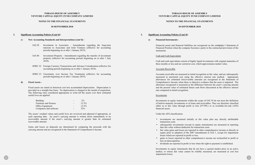#### **NOTES TO THE FINANCIAL STATEMENTS**

#### **30 SEPTEMBER 2018**

#### **2. Significant Accounting Policies (Cont'd):**

#### **c) New Accounting Standards and Interpretations (cont'd) -**

- IAS 28 Investment in Associates Amendments regarding the long-term interests in Associates and Joint Ventures (effective for accounting periods beginning on or after 1 January 2019).
- IAS 40 Investment Property Amendments regarding the transfer of investment property (effective for accounting periods beginning on or after 1 July 2018).
- IFRIC 22 Foreign Currency Transactions and Advance Consideration (effective for accounting periods beginning on or after 1 January 2018).
- IFRIC 23 Uncertainty over Income Tax Treatments (effective for accounting periods beginning on or after 1 January 2019).

#### **d) Fixed Assets -**

Fixed assets are stated at historical cost less accumulated depreciation. Depreciation is provided on a straight-line basis. No depreciation is charged in the month of acquisition. The following rates considered appropriate to write-off the assets over their estimated useful lives are applied:

| <b>Building</b>        |                          | $2\%$    |
|------------------------|--------------------------|----------|
| Furniture and fixtures | $\overline{\phantom{0}}$ | 12.5%    |
| Office Equipment       | $\overline{\phantom{0}}$ | $12.5\%$ |
| Computers and software |                          | 33%      |

The assets' residual values and useful lives are reviewed and adjusted if appropriate, at each reporting date. An asset's carrying amount is written down immediately to its recoverable amount if the asset's carrying amount is greater than its estimated recoverable amount.

Gains and losses on disposals are determined by comparing the proceeds with the carrying amount and are recognised in the Statement of Comprehensive Income.

**11.**

#### **TOBAGO HOUSE OF ASSEMBLY VENTURE CAPITAL EQUITY FUND COMPANY LIMITED**

#### **NOTES TO THE FINANCIAL STATEMENTS**

#### **30 SEPTEMBER 2018**

#### **2. Significant Accounting Policies (Cont'd):**

**e) Financial Instruments -**

Financial assets and financial liabilities are recognised on the company's Statement of Financial Position when the company becomes a party to the contractual provisions of the

instrument.

#### Cash and Cash Equivalents

Cash and cash equivalents consist of highly liquid investments with original maturities of three months or less and are carried at cost, which approximates market value.

#### Accounts Receivable

Accounts receivable are measured at initial recognition at fair value, and are subsequently measured at amortised cost using the effective interest rate method. Appropriate allowances for estimated irrecoverable amounts are recognised in the Statement of Comprehensive Income when there is objective evidence that the asset is impaired. The allowance recognised is measured as the difference between the asset's carrying amount and the present value of estimated future cash flows discounted at the effective interest rate computed at initial recognition.

#### Investments

Investments in equity instruments within the scope of IAS 39 do not meet the definition of held-to-maturity investments or of loans and receivables. They are therefore classified either as at fair value through profit or loss (FVTPL) or as available-for-sale (AFS) financial assets.

Under the AFS classification:

• investments are measured initially at fair value plus any directly attributable

• subsequently investments (except in equity instruments) are measured at reporting

- transaction costs.
- date fair value without deduction for transaction costs.
- losses which are reported in profit or loss.
- loss on derecognition.
- 

• fair value gains and losses are reported in other comprehensive income or directly in equity prior to adoption of the 2007 amendments to IAS 1, except for impairment

• gains or losses reported in other comprehensive income are reclassified to profit or

• dividends are reported in profit or loss when the right to payment is established.

Investments in equity instruments that do not have a quoted market price in an active market, or whose fair value cannot be reliably measured, are measured at cost less impairment losses.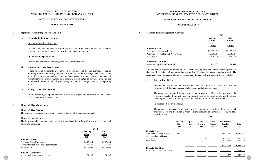#### **NOTES TO THE FINANCIAL STATEMENTS**

#### **30 SEPTEMBER 2018**

#### **2. Significant Accounting Policies (Cont'd):**

#### **e) Financial Instruments (cont'd) -**

#### Accounts Payable and Accruals

Accounts payable and accruals are initially measured at fair value, and are subsequently measured at amortised cost, using the effective interest rate method.

#### **f) Income and Expenditure -**

Income and expenditure are recognised on the accruals basis.

#### **g) Foreign Currency Transactions -**

These financial statements are expressed in Trinidad and Tobago currency. Foreign currency transactions during the year are translated at the exchange rates ruling at the date of the transactions and any gains or losses arising are taken into the Statement of Comprehensive Income. Assets and liabilities denominated in foreign currencies are expressed in Trinidad and Tobago currency at rates of exchange ruling at the reporting date.

#### **h) Comparative Information -**

Where necessary, comparative amounts have been adjusted to conform with the changes in presentation in the current year.

#### **3. Financial Risk Management:**

#### **Financial Risk Factors**

The company's activities are primarily related to the use of financial instruments.

#### **Financial Instruments**

|                                            | 2018                     |                              |  |  |
|--------------------------------------------|--------------------------|------------------------------|--|--|
|                                            | Carrying<br>Value<br>(S) | Fair<br>Value<br><b>(\$)</b> |  |  |
| <b>Financial Assets</b>                    |                          |                              |  |  |
| Cash and Cash Equivalents                  | 16,057,094               | 16,057,094                   |  |  |
| <b>Accounts Receivable and Prepayments</b> | 1,175,225                | 1,175,225                    |  |  |
| Investments                                | 3,420,000                | 3,420,000                    |  |  |
| <b>Financial Liabilities</b>               |                          |                              |  |  |
| <b>Accounts Payable and Accruals</b>       | 178,737                  | 178,737                      |  |  |

#### **TOBAGO HOUSE OF ASSEMBLY VENTURE CAPITAL EQUITY FUND COMPANY LIMITED**

#### **NOTES TO THE FINANCIAL STATEMENTS**

#### **30 SEPTEMBER 2018**

| <b>Financial Instruments</b><br>The following table summarizes the carrying amounts and fair values of the company's financial<br>assets and liabilities: |                          |                            |                                                                                 | Interest<br>Rate<br>$(\$)$ | Up to<br>1 year<br>(S) | $1$ to<br>5 years<br><b>(\$)</b> | Over<br>5 years<br><b>(\$)</b> | <b>Non-Interest</b><br><b>Bearing</b><br>$(\$)$ | <b>Total</b><br>(S) |
|-----------------------------------------------------------------------------------------------------------------------------------------------------------|--------------------------|----------------------------|---------------------------------------------------------------------------------|----------------------------|------------------------|----------------------------------|--------------------------------|-------------------------------------------------|---------------------|
|                                                                                                                                                           | 2018                     |                            |                                                                                 |                            |                        |                                  |                                |                                                 |                     |
|                                                                                                                                                           | Carrying<br><b>Value</b> | Fair<br><b>Value</b>       | <b>Financial Assets</b><br>Cash and Cash Equivalents<br>Accounts Receivable and | $1.00\%$                   | $\sim$                 | $\sim$                           | $\sim$                         | 16,057,094                                      | 16,057,094          |
| <b>Financial Assets</b>                                                                                                                                   | (S)                      | $\left( \mathbb{S}\right)$ | Prepayments                                                                     |                            | $\sim$                 | $\sim$                           | $\overline{\phantom{a}}$       | 1,175,225                                       | 1,175,225           |
| Cash and Cash Equivalents                                                                                                                                 | 16,057,094               | 16,057,094                 | Investments                                                                     |                            |                        | $\sim$                           |                                | 3,420,000                                       | 3,420,000           |
| <b>Accounts Receivable and Prepayments</b>                                                                                                                | 1, 175, 225              | 1,175,225                  |                                                                                 |                            |                        |                                  |                                | 20,652,319                                      | 20,652,319          |
| Investments                                                                                                                                               | 3,420,000                | 3,420,000                  | <b>Financial Liabilities</b>                                                    |                            |                        |                                  |                                |                                                 |                     |
| <b>Financial Liabilities</b>                                                                                                                              |                          |                            | Accounts Payable and Accruals                                                   |                            |                        | <u> 1999 - Andre Ste</u>         | $\sim$                         | 178,737                                         | 178,737             |
| <b>Accounts Payable and Accruals</b>                                                                                                                      | 178,737                  | 178,737                    |                                                                                 |                            |                        |                                  |                                | 178,737                                         | 178,737             |

**3. Financial Risk Management (Cont'd):**

#### **Financial Assets**

Cash and Cash Equivalents Accounts Receivable and Prepayments Investments

| Fair                       |
|----------------------------|
| Value                      |
| $\left( \mathbb{S}\right)$ |
| <b>Restated</b>            |
| 15,857,003                 |
| 1,038,957                  |
| 3,420,000                  |
|                            |
|                            |

**Financial Liabilities** Accounts Payable and Accruals

| 101,637<br>101,637 |
|--------------------|
|--------------------|

The company is exposed to interest rate risk, credit risk, liquidity risk, currency risk, operational risk, compliance risk and reputation risk arising from the financial instruments that it holds. The risk management policies employed by the company to manage these risks are discussed below:

#### **a) Interest Rate Risk -**

Interest rate risk is the risk that the fair value or future cash flows of a financial instrument will fluctuate because of changes in market interest rates.

The company is exposed to interest rate risk through the effect of fluctuations in the prevailing levels of interest rates on interest bearing financial assets and liabilities, including investments in money market deposits and other funding instruments.

#### Interest Rate Sensitivity Analysis

The company's exposure to interest rate risk is summarized in the table below, which analyses assets and liabilities at their carrying amounts categorized according to their maturity dates.

| <b>Interest</b>            |
|----------------------------|
| Rate                       |
| $\left( \mathbb{S}\right)$ |
|                            |
|                            |

| <b>Financial Assets</b>   |          |
|---------------------------|----------|
| Cash and Cash Equivalents | $1.00\%$ |
| Accounts Receivable and   |          |
| Prepayments               |          |
| Investments               |          |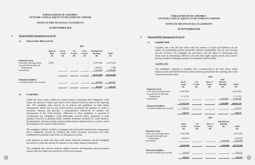**14.**

#### **TOBAGO HOUSE OF ASSEMBLY VENTURE CAPITAL EQUITY FUND COMPANY LIMITED**

#### **NOTES TO THE FINANCIAL STATEMENTS**

#### **30 SEPTEMBER 2018**

#### **3. Financial Risk Management (Cont'd):**

#### **a) Interest Rate Risk (cont'd) -**

**2017**

|                                                      | <b>Interest</b><br>Rate<br>$(\$)$ | Up to<br>1 year<br>$\left( \mathbb{S}\right)$ | 1 to<br>5 years<br>$(\$)$ | Over<br>5 years<br>$(\$)$ | <b>Non-Interest</b><br><b>Bearing</b><br>$\left( \mathbb{S}\right)$ | <b>Total</b><br>$(\$)$ |
|------------------------------------------------------|-----------------------------------|-----------------------------------------------|---------------------------|---------------------------|---------------------------------------------------------------------|------------------------|
| <b>Financial Assets</b>                              |                                   |                                               |                           |                           |                                                                     |                        |
| Cash and Cash Equivalents<br>Accounts Receivable and | 1.00%                             |                                               |                           | $\overline{\phantom{a}}$  | 15,857,003                                                          | 15,857,003             |
| Prepayments                                          |                                   |                                               |                           |                           | 1,038,957                                                           | 5,500                  |
| Investments                                          |                                   |                                               |                           |                           | 3,420,000                                                           | 3,420,000              |
|                                                      |                                   |                                               |                           |                           | 20,315,960                                                          | $-20.315.960$          |
| <b>Financial Liabilities</b>                         |                                   |                                               |                           |                           |                                                                     |                        |
| <b>Accounts Payable and Accruals</b>                 |                                   |                                               |                           |                           | 101,637                                                             | 101,637                |
|                                                      |                                   |                                               |                           |                           | 101.637                                                             | 101.637                |

#### **b) Credit Risk -**

|              | <b>Financial Liabilities</b><br>Accounts Payable and Accruals<br>101,637<br>101,637<br>101,637<br>101.637                                                                                                                                            |                                                                                 | $Up$ to<br>1 year<br>(S) | $1$ to<br>5 years<br>(S) | 2018<br>Over 5<br>Years<br>(S) | Non-<br><b>Interest</b><br><b>Bearing</b><br>(S) | <b>Total</b><br>(S) |
|--------------|------------------------------------------------------------------------------------------------------------------------------------------------------------------------------------------------------------------------------------------------------|---------------------------------------------------------------------------------|--------------------------|--------------------------|--------------------------------|--------------------------------------------------|---------------------|
|              |                                                                                                                                                                                                                                                      | <b>Financial Assets</b>                                                         |                          |                          |                                |                                                  |                     |
| $\mathbf{b}$ | <b>Credit Risk -</b>                                                                                                                                                                                                                                 | Cash and Cash Equivalents<br>Accounts Receivable and                            | 16,057,094               |                          |                                |                                                  | 16,057,094          |
|              |                                                                                                                                                                                                                                                      | Prepayments                                                                     | 1,175,225                |                          |                                |                                                  | 1,175,225           |
|              | Credit risk arises when a failure by counter parties to discharge their obligations could                                                                                                                                                            | Investments                                                                     |                          |                          |                                | 3,420,000                                        | 3,420,000           |
|              | reduce the amount of future cash inflows from financial assets on hand at the reporting                                                                                                                                                              |                                                                                 | 17,232,319               |                          |                                | 3,420,000                                        | 20,652,319          |
|              | date. The company relies heavily on its policies and guidelines on trade debtor<br>management, which sets out the current policies governing the granting of credit to<br>customers function and provides a comprehensive framework for prudent risk | <b>Financial Liabilities</b><br>Accounts Payable and Accruals                   | 178,737                  |                          |                                |                                                  | 178,737             |
|              | management of the credit function. Adherence to these guidelines is expected to                                                                                                                                                                      |                                                                                 | 178,737                  |                          |                                |                                                  | 178,737             |
|              | communicate the company's credit philosophy; provide policy guidelines to team                                                                                                                                                                       |                                                                                 |                          |                          | 2017                           |                                                  |                     |
|              | members involved in granting credit; establish minimum standards for credit analysis,<br>documentation, decision making and post-disbursement administration; as well as create                                                                      |                                                                                 |                          |                          |                                |                                                  |                     |
|              | the foundation for a sound credit portfolio.                                                                                                                                                                                                         |                                                                                 | $Up$ to                  | $1$ to                   | Over 5                         | <b>Non-Interest</b><br><b>Bearing</b>            |                     |
|              |                                                                                                                                                                                                                                                      |                                                                                 | 1 year                   | 5 years                  | Years                          | <b>(\$)</b>                                      | <b>Total</b>        |
|              | The company's debtor' portfolio is managed and consistently monitored by management                                                                                                                                                                  |                                                                                 | $(S)$                    | (S)                      | (S)                            |                                                  | (S)                 |
|              | and is adequately secured by collateral and where necessary, provisions have been<br>established for potential credit losses on delinquent accounts.                                                                                                 | <b>Financial Assets</b><br>Cash and Cash Equivalents<br>Accounts Receivable and | 15,857,003               |                          |                                |                                                  | 15,857,003          |
|              |                                                                                                                                                                                                                                                      | Prepayments                                                                     | 1,038,957                |                          |                                |                                                  | 1,038,957           |
|              | Cash balances are held with high credit quality financial institutions and the company<br>has policies to limit the amount of exposure to any single financial institution.                                                                          | Investments                                                                     |                          |                          |                                | 3,420,000                                        | 3,420,000           |
|              |                                                                                                                                                                                                                                                      |                                                                                 | 16,895,960               |                          |                                | 3.420.000                                        | 20,315,960          |
|              | The company also actively monitors global economic developments and government                                                                                                                                                                       |                                                                                 |                          |                          |                                |                                                  |                     |
|              | policies that may affect the growth rate of the local economy.                                                                                                                                                                                       | <b>Financial Liabilities</b><br>Accounts Payable and Accruals                   | 101,637                  |                          |                                |                                                  | 101,637             |
|              |                                                                                                                                                                                                                                                      |                                                                                 | 101.637                  |                          |                                |                                                  | 101.637             |
|              |                                                                                                                                                                                                                                                      |                                                                                 |                          |                          |                                |                                                  |                     |

|  |  | D |
|--|--|---|
|  |  |   |

#### **TOBAGO HOUSE OF ASSEMBLY VENTURE CAPITAL EQUITY FUND COMPANY LIMITED**

#### **NOTES TO THE FINANCIAL STATEMENTS**

#### **30 SEPTEMBER 2018**

#### **3. Financial Risk Management (Cont'd):**

#### **c) Liquidity Risk -**

Liquidity risk is the risk that arises when the maturity of assets and liabilities do not match. An unmatched position potentially enhances profitability, but can also increase the risk of losses. The company has procedures with the object of minimising such losses such as maintaining sufficient cash and other highly liquid current assets and by having available an adequate amount of committed credit facilities.

#### Liquidity Gap

The company's exposure to liquidity risk is summarized in the table below which analyses assets and liabilities based on the remaining period from the reporting date to the contractual maturity date.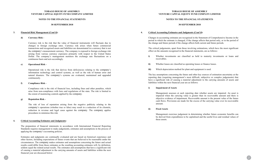#### **NOTES TO THE FINANCIAL STATEMENTS**

#### **30 SEPTEMBER 2018**

#### **3. Financial Risk Management (Cont'd):**

#### **d) Currency Risk -**

Currency risk is the risk that the value of financial instruments will fluctuate due to changes in foreign exchange rates. Currency risk arises when future commercial transactions and recognised assets and liabilities are denominated in a currency that is not the company's measurement currency. The company is exposed to foreign exchange risk arising from various currency exposures primarily with respect to the United States Dollar. The company's management monitors the exchange rate fluctuations on a continuous basis and acts accordingly.

#### **e) Operational Risk -**

Operational risk is the risk that derives from deficiencies relating to the company's information technology and control systems, as well as the risk of human error and natural disasters. The company's systems are evaluated, maintained and upgraded continuously.

#### **f) Compliance Risk -**

Compliance risk is the risk of financial loss, including fines and other penalties, which arise from non-compliance with laws and regulations of the state. The risk is limited to the extent of monitoring controls applied by the company.

#### **g) Reputation Risk -**

The risk of loss of reputation arising from the negative publicity relating to the company's operations (whether true or false) may result in a reduction of its clientele, reduction in revenue and legal cases against the company. The company applies procedures to minimise this risk.

- receivables.
- ii) Whether leases are classified as operating leases or finance leases.
- **iii)** Which depreciation method for plant and equipment is used.

#### **4. Critical Accounting Estimates and Judgments:**

The preparation of financial statements in accordance with International Financial Reporting Standards requires management to make judgements, estimates and assumptions in the process of applying the company's accounting policies.

Estimates and judgments are continually evaluated and are based on historical experience and other factors, including expectations of future events that are believed to be reasonable under the circumstances. The company makes estimates and assumptions concerning the future and actual results could differ from those estimates as the resulting accounting estimates will, by definition, seldom equal the related actual results. The estimates and assumptions that have a significant risk of causing a material adjustment to the carrying amounts of assets and liabilities within the next financial year are discussed below:

#### **TOBAGO HOUSE OF ASSEMBLY VENTURE CAPITAL EQUITY FUND COMPANY LIMITED**

#### **NOTES TO THE FINANCIAL STATEMENTS**

#### **30 SEPTEMBER 2018**

#### **4. Critical Accounting Estimates and Judgments (Cont'd):**

Changes in accounting estimates are recognised in the Statement of Comprehensive Income in the period in which the estimate is changed, if the change affects that period only, or in the period of the change and future periods if the change affects both current and future periods.

The critical judgements, apart from those involving estimations, which have the most significant effect on the amounts recognised in the financial statements, are as follows:

**i)** Whether investments are classified as held to maturity investments or loans and

The key assumptions concerning the future and other key sources of estimation uncertainty at the reporting date (requiring management's most difficult, subjective or complex judgements) that have a significant risk of causing a material adjustment to the carrying amounts of assets and liabilities within the next financial year are as follows:

#### **i) Impairment of Assets**

Management assesses at each reporting date whether assets are impaired. An asset is impaired when the carrying value is greater than its recoverable amount and there is objective evidence of impairment. Recoverable amount is the present value of the future cash flows. Provisions are made for the excess of the carrying value over its recoverable amount.

#### **ii) Fixed Assets**

Management exercises judgement in determining whether future economic benefits can be derived from expenditures to be capitalised and the useful lives and residual values of these assets.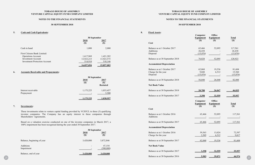#### **NOTES TO THE FINANCIAL STATEMENTS**

#### **30 SEPTEMBER 2018**

**5. Cash and Cash Equivalents:**

|                                      | 30 September              |                           |  |
|--------------------------------------|---------------------------|---------------------------|--|
|                                      | <u>2018</u>               | 2017                      |  |
|                                      | $\left( \text{\$}\right)$ | $\left( \text{\$}\right)$ |  |
| Cash in hand                         | 1,000                     | 2,000                     |  |
| First Citizens Bank Limited:         |                           |                           |  |
| <b>Operations Account</b>            | 1,617,969                 | 1,421,282                 |  |
| <b>Investment Account</b>            | 13,923,215                | 13,923,575                |  |
| <b>Investment Protection Account</b> | 514,910                   | 510,146                   |  |
|                                      | <u>16,057,094</u>         | <u>15,857,003</u>         |  |

#### **6. Accounts Receivable and Prepayments:**

|                                   | 30 September                       |                                        |  |
|-----------------------------------|------------------------------------|----------------------------------------|--|
|                                   | 2018<br>$\left( \mathbb{S}\right)$ | 2017<br><b>(\$)</b><br><b>Restated</b> |  |
| Interest receivable<br>Prepayment | 1,175,225<br>۰                     | 1,033,457<br>5,500                     |  |
|                                   | <u>1,175,225</u>                   | 1,038,957                              |  |

#### **7. Investments:**

|                            | 30 September |             |
|----------------------------|--------------|-------------|
|                            | 2018         | 2017        |
|                            | $(\$)$       | <b>(\$)</b> |
| Balance, beginning of year | 3,420,000    | 3,872,846   |
| Additions                  |              | 47,154      |
| Impairment                 |              | (500,000)   |
| Balance, end of year       | 3,420,000    | 3,420,000   |

| Cash in hand                                                                                   | 2018<br>(S)           | 30 September<br>2017<br>(S) | Cost                                      | Computer<br>Equipment<br><b>(\$)</b>           | <b>Office</b><br>Equipment<br><b>(\$)</b> | <b>Total</b><br>(S) |
|------------------------------------------------------------------------------------------------|-----------------------|-----------------------------|-------------------------------------------|------------------------------------------------|-------------------------------------------|---------------------|
|                                                                                                | 1,000                 | 2,000                       | Balance as at 1 October 2017<br>Additions | 65,466<br>26,438                               | 52,095<br>$\overline{\phantom{a}}$        | 117,561<br>26,438   |
| First Citizens Bank Limited:                                                                   |                       |                             | Disposal                                  | (15,076)                                       | $\sim$                                    | (15,076)            |
| <b>Operations Account</b><br><b>Investment Account</b>                                         | 1,617,969             | 1,421,282                   |                                           | 76,828                                         | 52,095                                    | 128,923             |
| <b>Investment Protection Account</b>                                                           | 13,923,215<br>514,910 | 13,923,575<br>510,146       | Balance as at 30 September 2018           |                                                |                                           |                     |
|                                                                                                | 16,057,094            | 15,857,003                  | <b>Accumulated Depreciation</b>           |                                                |                                           |                     |
|                                                                                                |                       |                             | Balance as at 1 October 2017              | 62,068                                         | 19,536                                    | 81,604              |
| <b>Accounts Receivable and Prepayments:</b><br>6.                                              |                       |                             | Charge for the year                       | 9,048                                          | 6,512                                     | 15,560              |
|                                                                                                |                       |                             | Disposal                                  | (15,076)                                       | $\overline{\phantom{a}}$                  | (15,076)            |
|                                                                                                | 30 September          |                             |                                           |                                                |                                           |                     |
|                                                                                                | 2018                  | 2017<br>(S)                 | Balance as at 30 September 2018           | 56,040                                         | 26,048                                    | 82,088              |
|                                                                                                | (S)                   | <b>Restated</b>             | <b>Net Book Value</b>                     |                                                |                                           |                     |
| Interest receivable                                                                            | 1,175,225             | 1,033,457<br>5,500          | Balance as at 30 September 2018           | $-20,788$                                      | 26,047                                    | 46,835              |
| Prepayment                                                                                     |                       |                             | Balance as at 30 September 2017           | 3,398                                          | 32,559                                    | 35,957              |
|                                                                                                | 1,175,225             | 1,038,957                   |                                           |                                                |                                           |                     |
|                                                                                                |                       |                             |                                           | Computer                                       | <b>Office</b>                             | <b>Total</b>        |
| 7.<br>Investments:                                                                             |                       |                             |                                           | <b>Equipment</b><br>$\left( \mathbb{S}\right)$ | <b>Equipment</b><br>(S)                   | (S)                 |
|                                                                                                |                       |                             | Cost                                      |                                                |                                           |                     |
| These investments relate to venture capital funding provided by VCEFCL to three (3) qualifying |                       |                             |                                           |                                                |                                           |                     |
| investee companies. The Company has an equity interest in these companies through              |                       |                             | Balance as at 1 October 2016              | 65,466                                         | 52,095                                    | 117,561             |
| Shareholders' Agreements.                                                                      |                       |                             | Additions                                 |                                                |                                           |                     |
| Based on a valuation exercise conducted on one of the investee companies in March 2017, a      |                       |                             | Balance as at 30 September 2017           | 65,466                                         | 52,095                                    | 117,561             |
| 100% impairment has been recognised during the year ended 30 September 2017.                   |                       |                             | <b>Accumulated Depreciation</b>           |                                                |                                           |                     |
|                                                                                                | 30 September          |                             |                                           |                                                |                                           |                     |
|                                                                                                | 2018                  | 2017                        | Balance as at 1 October 2016              | 59,563                                         | 13,024                                    | 72,587              |
|                                                                                                | (S)                   | $(\$)$                      | Charge for the year                       | 2,505                                          | 6,512                                     | 9,017               |
|                                                                                                |                       |                             |                                           |                                                |                                           |                     |
| Balance, beginning of year                                                                     | 3,420,000             | 3,872,846                   | Balance as at 30 September 2017           | 62,068                                         | 19,536                                    | 81,604              |
| Additions                                                                                      | $\sim$                | 47,154                      | <b>Net Book Value</b>                     |                                                |                                           |                     |
| Impairment                                                                                     |                       | (500,000)                   |                                           |                                                |                                           |                     |
| Balance, end of year                                                                           | 3,420,000             | 3,420,000                   | Balance as at 30 September 2017           | 3,398                                          | 32,559                                    | 35,957              |

#### **TOBAGO HOUSE OF ASSEMBLY VENTURE CAPITAL EQUITY FUND COMPANY LIMITED**

#### **NOTES TO THE FINANCIAL STATEMENTS**

#### **30 SEPTEMBER 2018**

**8. Fixed Assets:**

| Cost                                                            |
|-----------------------------------------------------------------|
| Balance as at 1 October 2017<br>Additions<br>Disposal           |
| Balance as at 30 September 2018                                 |
| <b>Accumulated Depreciation</b>                                 |
| Balance as at 1 October 2017<br>Charge for the year<br>Disposal |
| Balance as at 30 September 2018                                 |
| <b>Net Book Value</b>                                           |
| Balance as at 30 September 2018                                 |
| Balance as at 30 September 2017                                 |

#### **Cost**

#### **Accumulated Depreciation**

#### **Net Book Value**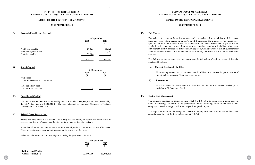**20.**

#### **TOBAGO HOUSE OF ASSEMBLY VENTURE CAPITAL EQUITY FUND COMPANY LIMITED**

#### **NOTES TO THE FINANCIAL STATEMENTS**

#### **30 SEPTEMBER 2018**

#### **9. Accounts Payable and Accruals:**

|                      | 30 September               |                            |
|----------------------|----------------------------|----------------------------|
|                      | 2018                       | 2017                       |
|                      | $\left( \mathbb{S}\right)$ | $\left( \mathbb{S}\right)$ |
| Audit fees payable   | 50,625                     | 50,625                     |
| Fund management fees | 51,012                     | 51,012                     |
| Gratuity payable     | 77,100                     | ۰                          |
|                      | 178,737                    | <u>101,637</u>             |

#### **10. Stated Capital:**

|                                                 | 30 September |                 |
|-------------------------------------------------|--------------|-----------------|
|                                                 | 2018<br>(\$) | 2017<br>$(\$\)$ |
| Authorised<br>Unlimited shares at no par value  |              |                 |
|                                                 |              |                 |
| Issued and fully paid<br>shares at no par value |              |                 |

#### **11. Contributed Capital:**

The sum of **\$25,000,000** was committed by the THA on which **\$22,846,000** had been provided by the THA thus far, and **\$500,000** by The Eco-Industrial Development Company of Tobago Limited on behalf of the THA.

#### **12. Related Party Transactions:**

Parties are considered to be related if one party has the ability to control the other party or exercise significant influence over the other party in making financial decisions.

A number of transactions are entered into with related parties in the normal course of business. These transactions were carried out on commercial terms at market rates.

Balances and transaction with related parties during the year were as follows:

|                               | 30 September      |             |
|-------------------------------|-------------------|-------------|
|                               | 2018              | 2017        |
|                               | (\$)              | <b>(\$)</b> |
| <b>Liabilities and Equity</b> |                   |             |
| Capital contribution          | <u>23.346.000</u> | 23,346.00   |

**21.**

#### **TOBAGO HOUSE OF ASSEMBLY VENTURE CAPITAL EQUITY FUND COMPANY LIMITED**

#### **NOTES TO THE FINANCIAL STATEMENTS**

#### **30 SEPTEMBER 2018**

#### **13. Fair Values:**

Fair value is the amount for which an asset could be exchanged, or a liability settled between knowledgeable, willing parties in an arm's length transaction. The existence of published price quotation in an active market is the best evidence of fair value. Where market prices are not available, fair values are estimated using various valuation techniques, including using recent arm's length market transactions between knowledgeable, willing parties, if available, current fair value of another financial instrument that is substantially the same and discounted cash flow analysis.

The following methods have been used to estimate the fair values of various classes of financial assets and liabilities:

#### **a) Current Assets and Liabilities**

The carrying amounts of current assets and liabilities are a reasonable approximation of the fair values because of their short-term nature.

**b) Investments**

The fair values of investments are determined on the basis of quoted market prices

available at 30 September 2018.

#### **14. Capital Risk Management:**

The company manages its capital to ensure that it will be able to continue as a going concern while maximising the return to its shareholder, whilst providing value to the clients. The company's overall strategy remains unchanged from previous years.

The capital structure of the company consists of equity attributable to its shareholders, and comprises capital contributions and accumulated deficit.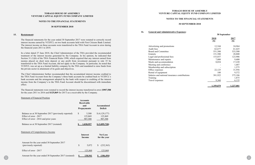#### **NOTES TO THE FINANCIAL STATEMENTS**

#### **30 SEPTEMBER 2018**

#### **15. Restatement:**

The financial statements for the year ended 30 September 2017 were restated to correctly record interest income earned by VCEFCL on two bank accounts held with First Citizens Bank Limited. The interest income on these accounts were transferred to the THA Fund Account in error during the financial years 2011 to 2018.

In a letter dated 27 June 2018, the Chief Administrator of the THA provided the recommended treatment of the interest income generated by the Company. In his opinion, he indicated that Section 31 (1)(b) of the THA Financial Rules 1990, which required that any interest earned from monies placed on short term deposit or any profit from investment pursuant to rule 35 be transferred to the THA Fund Account, did not apply to the Company. In particular, he noted that VCEFCL was set up as a limited liability company by the THA and mandated to raise funds from the private sector in attainment of its goals and objectives.

|                                                                                                                           | <b>Accounts</b><br>Receivable<br>and<br>Prepayments | Accumulated<br>Deficit            |
|---------------------------------------------------------------------------------------------------------------------------|-----------------------------------------------------|-----------------------------------|
| Balance as at 30 September 2017 (previously reported)<br>Effect of error - 2017<br>Effect of error - 2016 and prior years | 5,500<br><sup>\$</sup><br>125,869<br>907,588        | (4,129,177)<br>125,869<br>907,588 |
| Balance as at 30 September 2017 (restated)                                                                                | 1,038,957                                           | \$ (3,095,720)                    |
|                                                                                                                           |                                                     |                                   |
| <b>Statement of Comprehensive Income</b>                                                                                  | Interest<br>Income                                  | <b>Net Loss</b><br>for the year   |
| Amount for the year ended 30 September 2017<br>(previously reported)                                                      | 5,072<br>$\mathcal{S}$                              | (232,363)                         |
| Effect of error - 2017                                                                                                    | 125,869                                             | 125,869                           |

The Chief Administrator further recommended that the accumulated interest income credited to the THA Fund Account from the Company's three bank accounts be credited back to VCEFCL's bank accounts and the arrangement adopted by the bank with respect to crediting of the interest income from the Company's to the THA Fund Account should be discontinued with immediate effect.

The financial statements were restated to record the interest income transferred in error (**\$907,588**  for the years 2011 to 2016 and **\$125,869** for 2017) as a receivable by the Company.

#### Statement of Financial Position

#### **TOBAGO HOUSE OF ASSEMBLY VENTURE CAPITAL EQUITY FUND COMPANY LIMITED**

#### **NOTES TO THE FINANCIAL STATEMENTS**

#### **30 SEPTEMBER 2018**

**16. General and Administrative Expenses:**

Advertising and promotions Audit fees Board and Committee Gratuity Legal and professional fees Maintenance and repairs Meals and accommodation Meeting and conference Membership and subscription Office expenses Rental of equipment Salaries and national insurance contribution Training Travel expenses

|    | 30 September     |           |  |
|----|------------------|-----------|--|
|    | 2018             | 2017      |  |
|    | $(\$)$           | $(\$)$    |  |
|    | 12,544           | 24,964    |  |
|    | 62,677           | 61,425    |  |
|    | 551,500          | 533,500   |  |
|    | 151,500          | 28,800    |  |
|    | 153,037          | 123,906   |  |
|    | 7,000            | 9,400     |  |
|    | 8,034            | 17,220    |  |
|    |                  | 1,687     |  |
|    |                  | 1,575     |  |
|    | 22,125           | 31,956    |  |
|    | 180              | 9,372     |  |
| 1S | 381,922          | 375,186   |  |
|    |                  | 1,875     |  |
|    | 9,360            | 6,135     |  |
|    | <u>1,359,879</u> | 1,227,001 |  |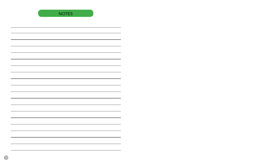NOTES

 $34<sup>o</sup>$